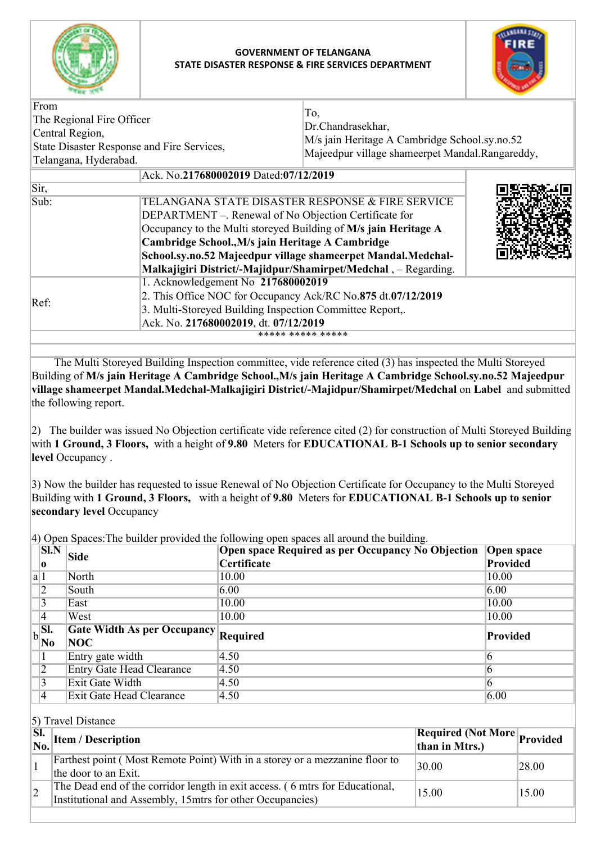

## **GOVERNMENT OF TELANGANA STATE DISASTER RESPONSE & FIRE SERVICES DEPARTMENT**



| From<br>The Regional Fire Officer<br>Central Region,<br>State Disaster Response and Fire Services,<br>Telangana, Hyderabad. |                                                                | To,<br>Dr.Chandrasekhar,<br>M/s jain Heritage A Cambridge School.sy.no.52<br>Majeedpur village shameerpet Mandal.Rangareddy, |  |  |
|-----------------------------------------------------------------------------------------------------------------------------|----------------------------------------------------------------|------------------------------------------------------------------------------------------------------------------------------|--|--|
|                                                                                                                             | Ack. No.217680002019 Dated:07/12/2019                          |                                                                                                                              |  |  |
| Sir,                                                                                                                        |                                                                |                                                                                                                              |  |  |
| Sub:                                                                                                                        | TELANGANA STATE DISASTER RESPONSE & FIRE SERVICE               |                                                                                                                              |  |  |
| DEPARTMENT –. Renewal of No Objection Certificate for<br>Occupancy to the Multi storeyed Building of M/s jain Heritage A    |                                                                |                                                                                                                              |  |  |
|                                                                                                                             |                                                                |                                                                                                                              |  |  |
| Cambridge School., M/s jain Heritage A Cambridge                                                                            |                                                                |                                                                                                                              |  |  |
|                                                                                                                             | School.sy.no.52 Majeedpur village shameerpet Mandal.Medchal-   |                                                                                                                              |  |  |
|                                                                                                                             | Malkajigiri District/-Majidpur/Shamirpet/Medchal, - Regarding. |                                                                                                                              |  |  |
|                                                                                                                             | 1. Acknowledgement No 217680002019                             |                                                                                                                              |  |  |
| Ref:                                                                                                                        | 2. This Office NOC for Occupancy Ack/RC No.875 dt.07/12/2019   |                                                                                                                              |  |  |
|                                                                                                                             | 3. Multi-Storeyed Building Inspection Committee Report,.       |                                                                                                                              |  |  |
|                                                                                                                             | Ack. No. 217680002019, dt. 07/12/2019                          |                                                                                                                              |  |  |
|                                                                                                                             |                                                                | ***** ***** *****                                                                                                            |  |  |
|                                                                                                                             |                                                                |                                                                                                                              |  |  |

 The Multi Storeyed Building Inspection committee, vide reference cited (3) has inspected the Multi Storeyed Building of **M/s jain Heritage A Cambridge School.,M/s jain Heritage A Cambridge School.sy.no.52 Majeedpur village shameerpet Mandal.Medchal-Malkajigiri District/-Majidpur/Shamirpet/Medchal** on **Label** and submitted the following report.

2) The builder was issued No Objection certificate vide reference cited (2) for construction of Multi Storeyed Building with **1 Ground, 3 Floors,** with a height of **9.80** Meters for **EDUCATIONAL B-1 Schools up to senior secondary level** Occupancy .

3) Now the builder has requested to issue Renewal of No Objection Certificate for Occupancy to the Multi Storeyed Building with **1 Ground, 3 Floors,** with a height of **9.80** Meters for **EDUCATIONAL B-1 Schools up to senior secondary level** Occupancy

4) Open Spaces:The builder provided the following open spaces all around the building.

| <b>SI.N</b>                            | <b>Side</b>                          | Open space Required as per Occupancy No Objection | <b>Open space</b> |
|----------------------------------------|--------------------------------------|---------------------------------------------------|-------------------|
| 10                                     |                                      | Certificate                                       | <b>Provided</b>   |
| a 1                                    | North                                | 10.00                                             | 10.00             |
|                                        | South                                | 6.00                                              | 6.00              |
|                                        | East                                 | 10.00                                             | 10.00             |
| 14                                     | West                                 | 10.00                                             | 10.00             |
| SI.                                    | Gate Width As per Occupancy Required |                                                   | Provided          |
| $\mathbf{b}$ $\mathbf{b}$ $\mathbf{a}$ | <b>NOC</b>                           |                                                   |                   |
|                                        |                                      |                                                   |                   |
|                                        | Entry gate width                     | 4.50                                              |                   |
| $\overline{2}$                         | <b>Entry Gate Head Clearance</b>     | 4.50                                              |                   |
|                                        | Exit Gate Width                      | 4.50                                              | h                 |

5) Travel Distance

| $\begin{array}{c} \boxed{\text{SL}}\\ \text{No.} \end{array}$ Item / Description                                                          | <b>Required (Not More</b> Provided<br>than in Mtrs.) |       |
|-------------------------------------------------------------------------------------------------------------------------------------------|------------------------------------------------------|-------|
| Farthest point (Most Remote Point) With in a storey or a mezzanine floor to<br>the door to an Exit.                                       | 30.00                                                | 28.00 |
| The Dead end of the corridor length in exit access. (6 mtrs for Educational,<br>Institutional and Assembly, 15mtrs for other Occupancies) | 15.00                                                | 15.00 |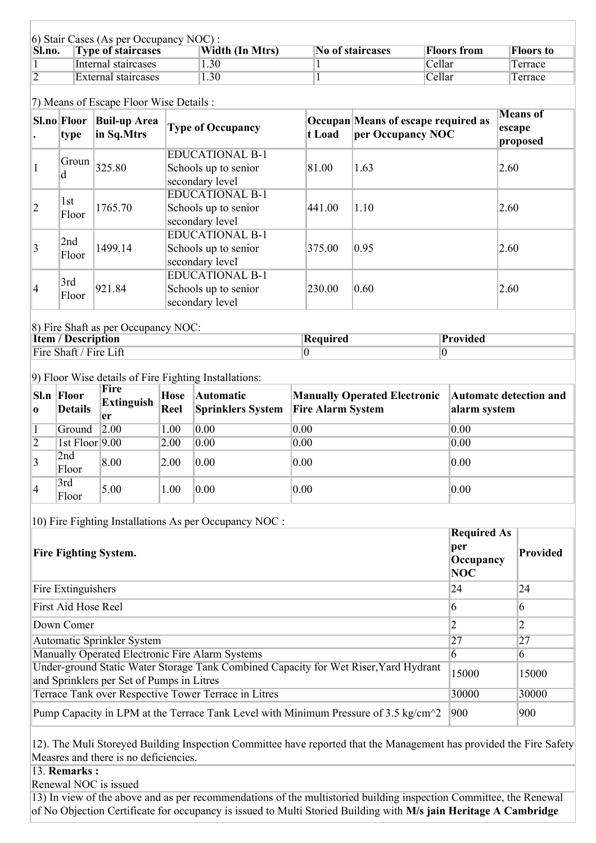| 6) Stair Cases (As per Occupancy NOC): |                           |                 |                  |             |                  |
|----------------------------------------|---------------------------|-----------------|------------------|-------------|------------------|
| Sl.no.                                 | <b>Type of staircases</b> | Width (In Mtrs) | No of staircases | Floors from | <b>Floors to</b> |
|                                        | Internal staircases       | 1.30            |                  | Cellar      | Terrace          |
|                                        | External staircases       | 1.30            |                  | Cellar      | Terrace          |

## 7) Means of Escape Floor Wise Details :

|                 | Sl.no Floor<br>type | <b>Buil-up Area</b><br>in Sq.Mtrs | <b>Type of Occupancy</b>                                          | t Load | Occupan Means of escape required as<br>per Occupancy NOC | <b>Means</b> of<br>escape<br>proposed |
|-----------------|---------------------|-----------------------------------|-------------------------------------------------------------------|--------|----------------------------------------------------------|---------------------------------------|
|                 | Groun<br>d          | 325.80                            | <b>EDUCATIONAL B-1</b><br>Schools up to senior<br>secondary level | 81.00  | 1.63                                                     | 2.60                                  |
| $ 2\rangle$     | 1st<br>Floor        | 1765.70                           | <b>EDUCATIONAL B-1</b><br>Schools up to senior<br>secondary level | 441.00 | 1.10                                                     | 2.60                                  |
| $\vert 3 \vert$ | 2nd<br>Floor        | 1499.14                           | <b>EDUCATIONAL B-1</b><br>Schools up to senior<br>secondary level | 375.00 | 0.95                                                     | 2.60                                  |
| $\vert 4$       | 3rd<br>Floor        | 921.84                            | <b>EDUCATIONAL B-1</b><br>Schools up to senior<br>secondary level | 230.00 | 0.60                                                     | 2.60                                  |

## 8) Fire Shaft as per Occupancy NOC: **Item / Description Required Provided** Fire Shaft / Fire Lift 0 0

9) Floor Wise details of Fire Fighting Installations:

| 0 I            | Sl.n Floor<br><b>Details</b> | Fire<br><b>Extinguish</b><br>er | Hose<br>Reel | <b>Automatic</b><br>Sprinklers System | Manually Operated Electronic   Automatc detection and<br><b>Fire Alarm System</b> | alarm system |
|----------------|------------------------------|---------------------------------|--------------|---------------------------------------|-----------------------------------------------------------------------------------|--------------|
|                | Ground $\sqrt{2.00}$         |                                 | 1.00         | 0.00                                  | 0.00                                                                              | 0.00         |
| $\overline{2}$ | 1st Floor $9.00$             |                                 | 2.00         | 0.00                                  | 0.00                                                                              | 0.00         |
| 3              | 2nd<br>Floor                 | 8.00                            | 2.00         | 0.00                                  | 0.00                                                                              | 0.00         |
| $\vert 4$      | 3rd<br>Floor                 | 5.00                            | 1.00         | 0.00                                  | 0.00                                                                              | 0.00         |

10) Fire Fighting Installations As per Occupancy NOC :

| <b>Fire Fighting System.</b>                                                                                                      | <b>Required As</b><br>per<br>Occupancy<br>NOC | <b>Provided</b> |
|-----------------------------------------------------------------------------------------------------------------------------------|-----------------------------------------------|-----------------|
| Fire Extinguishers                                                                                                                | 24                                            | 24              |
| First Aid Hose Reel                                                                                                               | 6                                             | 6               |
| Down Comer                                                                                                                        |                                               |                 |
| Automatic Sprinkler System                                                                                                        | 27                                            | 27              |
| Manually Operated Electronic Fire Alarm Systems                                                                                   | 6                                             | 6               |
| Under-ground Static Water Storage Tank Combined Capacity for Wet Riser, Yard Hydrant<br>and Sprinklers per Set of Pumps in Litres | 15000                                         | 15000           |
| Terrace Tank over Respective Tower Terrace in Litres                                                                              | 30000                                         | 30000           |
| Pump Capacity in LPM at the Terrace Tank Level with Minimum Pressure of $3.5 \text{ kg/cm}^2$                                     | 900                                           | 900             |

12). The Muli Storeyed Building Inspection Committee have reported that the Management has provided the Fire Safety Measres and there is no deficiencies.

13. **Remarks :**

Renewal NOC is issued

13) In view of the above and as per recommendations of the multistoried building inspection Committee, the Renewal of No Objection Certificate for occupancy is issued to Multi Storied Building with **M/s jain Heritage A Cambridge**